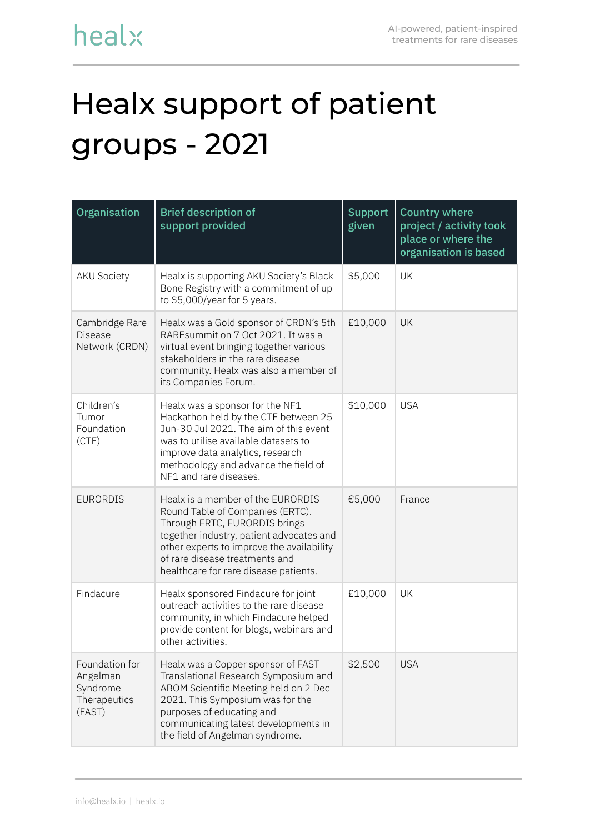## Healx support of patient groups - 2021

| Organisation                                                     | <b>Brief description of</b><br>support provided                                                                                                                                                                                                                            | <b>Support</b><br>given | <b>Country where</b><br>project / activity took<br>place or where the<br>organisation is based |
|------------------------------------------------------------------|----------------------------------------------------------------------------------------------------------------------------------------------------------------------------------------------------------------------------------------------------------------------------|-------------------------|------------------------------------------------------------------------------------------------|
| <b>AKU Society</b>                                               | Healx is supporting AKU Society's Black<br>Bone Registry with a commitment of up<br>to \$5,000/year for 5 years.                                                                                                                                                           | \$5,000                 | UK                                                                                             |
| Cambridge Rare<br><b>Disease</b><br>Network (CRDN)               | Healx was a Gold sponsor of CRDN's 5th<br>RAREsummit on 7 Oct 2021. It was a<br>virtual event bringing together various<br>stakeholders in the rare disease<br>community. Healx was also a member of<br>its Companies Forum.                                               | £10,000                 | UK                                                                                             |
| Children's<br>Tumor<br>Foundation<br>(CTF)                       | Healx was a sponsor for the NF1<br>Hackathon held by the CTF between 25<br>Jun-30 Jul 2021. The aim of this event<br>was to utilise available datasets to<br>improve data analytics, research<br>methodology and advance the field of<br>NF1 and rare diseases.            | \$10,000                | <b>USA</b>                                                                                     |
| <b>EURORDIS</b>                                                  | Healx is a member of the EURORDIS<br>Round Table of Companies (ERTC).<br>Through ERTC, EURORDIS brings<br>together industry, patient advocates and<br>other experts to improve the availability<br>of rare disease treatments and<br>healthcare for rare disease patients. | €5,000                  | France                                                                                         |
| Findacure                                                        | Healx sponsored Findacure for joint<br>outreach activities to the rare disease<br>community, in which Findacure helped<br>provide content for blogs, webinars and<br>other activities.                                                                                     | £10,000                 | UK                                                                                             |
| Foundation for<br>Angelman<br>Syndrome<br>Therapeutics<br>(FAST) | Healx was a Copper sponsor of FAST<br>Translational Research Symposium and<br>ABOM Scientific Meeting held on 2 Dec<br>2021. This Symposium was for the<br>purposes of educating and<br>communicating latest developments in<br>the field of Angelman syndrome.            | \$2,500                 | <b>USA</b>                                                                                     |